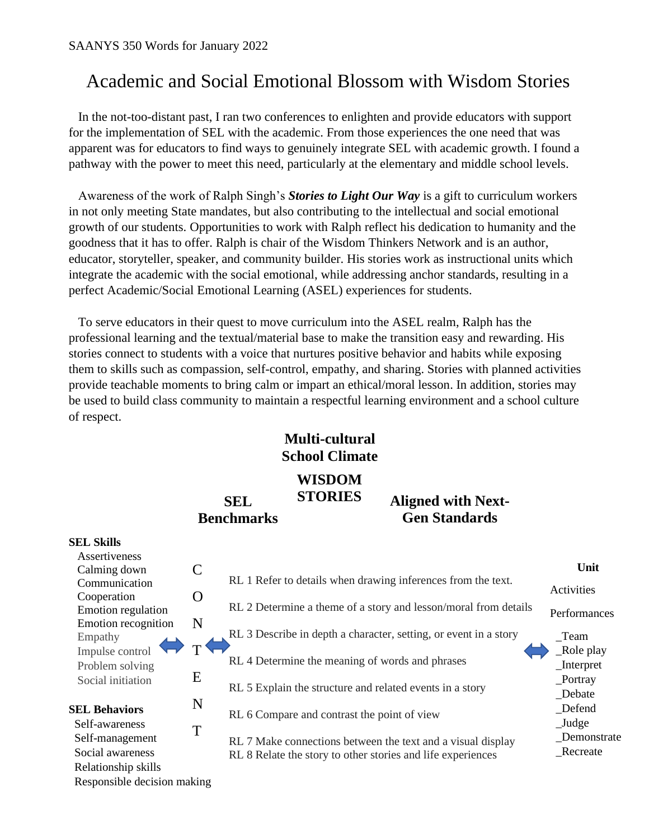## Academic and Social Emotional Blossom with Wisdom Stories

 In the not-too-distant past, I ran two conferences to enlighten and provide educators with support for the implementation of SEL with the academic. From those experiences the one need that was apparent was for educators to find ways to genuinely integrate SEL with academic growth. I found a pathway with the power to meet this need, particularly at the elementary and middle school levels.

 Awareness of the work of Ralph Singh's *Stories to Light Our Way* is a gift to curriculum workers in not only meeting State mandates, but also contributing to the intellectual and social emotional growth of our students. Opportunities to work with Ralph reflect his dedication to humanity and the goodness that it has to offer. Ralph is chair of the Wisdom Thinkers Network and is an author, educator, storyteller, speaker, and community builder. His stories work as instructional units which integrate the academic with the social emotional, while addressing anchor standards, resulting in a perfect Academic/Social Emotional Learning (ASEL) experiences for students.

 To serve educators in their quest to move curriculum into the ASEL realm, Ralph has the professional learning and the textual/material base to make the transition easy and rewarding. His stories connect to students with a voice that nurtures positive behavior and habits while exposing them to skills such as compassion, self-control, empathy, and sharing. Stories with planned activities provide teachable moments to bring calm or impart an ethical/moral lesson. In addition, stories may be used to build class community to maintain a respectful learning environment and a school culture of respect.